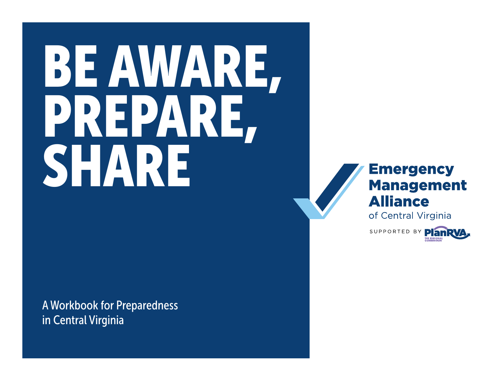# BE AWARE, PREPARE, SHARE

A Workbook for Preparedness in Central Virginia



of Central Virginia

SUPPORTED BY PlanR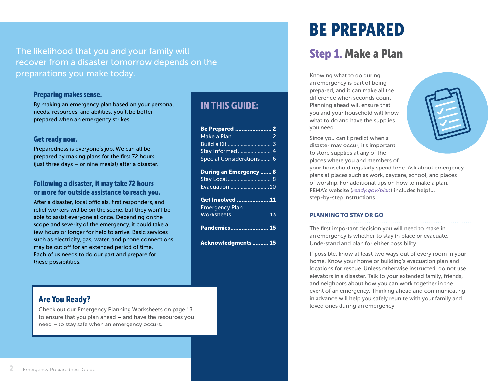The likelihood that you and your family will recover from a disaster tomorrow depends on the preparations you make today.

#### Preparing makes sense.

By making an emergency plan based on your personal needs, resources, and abilities, you'll be better prepared when an emergency strikes.

#### Get ready now.

Preparedness is everyone's job. We can all be prepared by making plans for the first 72 hours (just three days – or nine meals!) after a disaster.

#### Following a disaster, it may take 72 hours or more for outside assistance to reach you.

After a disaster, local officials, first responders, and relief workers will be on the scene, but they won't be able to assist everyone at once. Depending on the scope and severity of the emergency, it could take a few hours or longer for help to arrive. Basic services such as electricity, gas, water, and phone connections may be cut off for an extended period of time. Each of us needs to do our part and prepare for these possibilities.

#### Are You Ready?

Check out our Emergency Planning Worksheets on page 13 to ensure that you plan ahead – and have the resources you need – to stay safe when an emergency occurs.

### IN THIS GUIDE:

| Be Prepared  2                |
|-------------------------------|
|                               |
|                               |
| Stay Informed 4               |
| Special Considerations 6      |
| <b>During an Emergency  8</b> |
|                               |
| Stay Local8                   |
| Evacuation 10                 |
| Get Involved <u>11</u>        |
| <b>Emergency Plan</b>         |
| Worksheets  13                |
|                               |
| Pandemics 15                  |
| Acknowledgments  15           |

# BE PREPARED

# Step 1. Make a Plan

Knowing what to do during an emergency is part of being prepared, and it can make all the difference when seconds count. Planning ahead will ensure that you and your household will know what to do and have the supplies you need.

Since you can't predict when a disaster may occur, it's important to store supplies at any of the

places where you and members of your household regularly spend time. Ask about emergency plans at places such as work, daycare, school, and places of worship. For additional tips on how to make a plan, FEMA's website (*[ready.gov/plan](https://www.ready.gov/plan)*) includes helpful step-by-step instructions.

#### PLANNING TO STAY OR GO

The first important decision you will need to make in an emergency is whether to stay in place or evacuate. Understand and plan for either possibility.

If possible, know at least two ways out of every room in your home. Know your home or building's evacuation plan and locations for rescue. Unless otherwise instructed, do not use elevators in a disaster. Talk to your extended family, friends, and neighbors about how you can work together in the event of an emergency. Thinking ahead and communicating in advance will help you safely reunite with your family and loved ones during an emergency.

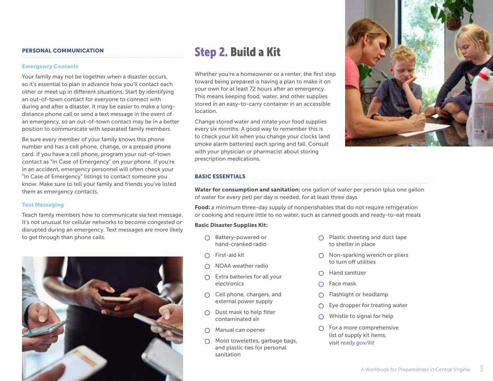#### <span id="page-2-0"></span>PERSONAL COMMUNICATION

#### Emergency Contacts

Your family may not be together when a disaster occurs, so it's essential to plan in advance how you'll contact each other or meet up in different situations. Start by identifying an out-of-town contact for everyone to connect with during and after a disaster. It may be easier to make a longdistance phone call or send a text message in the event of an emergency, so an out-of-town contact may be in a better position to communicate with separated family members.

Be sure every member of your family knows this phone number and has a cell phone, change, or a prepaid phone card. If you have a cell phone, program your out-of-town contact as "In Case of Emergency" on your phone. If you're in an accident, emergency personnel will often check your "In Case of Emergency" listings to contact someone you know. Make sure to tell your family and friends you've listed them as emergency contacts.

#### Text Messaging

Teach family members how to communicate via text message. It's not unusual for cellular networks to become congested or disrupted during an emergency. Text messages are more likely to get through than phone calls.



# Step 2. Build a Kit

Whether you're a homeowner or a renter, the first step toward being prepared is having a plan to make it on your own for at least 72 hours after an emergency. This means keeping food, water, and other supplies stored in an easy-to-carry container in an accessible location.

Change stored water and rotate your food supplies every six months. A good way to remember this is to check your kit when you change your clocks (and smoke alarm batteries) each spring and fall. Consult with your physician or pharmacist about storing prescription medications.



#### BASIC ESSENTIALS

Water for consumption and sanitation: one gallon of water per person (plus one gallon of water for every pet) per day is needed, for at least three days

Food: a minimum three-day supply of nonperishables that do not require refrigeration or cooking and require little to no water, such as canned goods and ready-to-eat meals

#### Basic Disaster Supplies Kit:

- O Battery-powered or hand-cranked radio
- First-aid kit  $\cap$
- $\bigcap$  NOAA weather radio
- $\bigcap$  Extra batteries for all your electronics
- $\bigcap$  Cell phone, chargers, and external power supply
- $\bigcap$  Dust mask to help filter contaminated air
- $\Omega$ Manual can opener
- ◯ Moist towelettes, garbage bags, and plastic ties for personal sanitation
- $\bigcap$  Plastic sheeting and duct tape to shelter in place
- $\bigcap$  Non-sparking wrench or pliers to turn off utilities
- Hand sanitizer
- Face mask
- Flashlight or headlamp ⌒
- Eye dropper for treating water O
- Whistle to signal for help O
- $\bigcirc$  For a more comprehensive list of supply kit items, visit *[ready.gov/kit](http://ready.gov/kit)*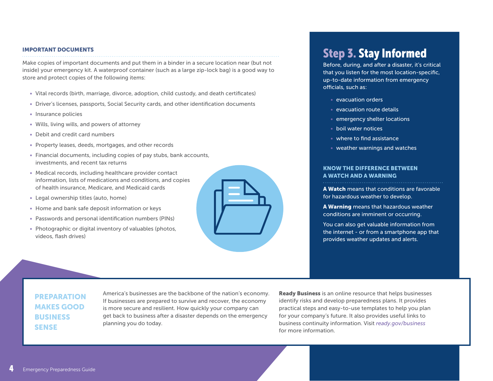#### <span id="page-3-0"></span>IMPORTANT DOCUMENTS

Make copies of important documents and put them in a binder in a secure location near (but not inside) your emergency kit. A waterproof container (such as a large zip-lock bag) is a good way to store and protect copies of the following items:

- Vital records (birth, marriage, divorce, adoption, child custody, and death certificates)
- Driver's licenses, passports, Social Security cards, and other identification documents
- Insurance policies
- Wills, living wills, and powers of attorney
- Debit and credit card numbers
- Property leases, deeds, mortgages, and other records
- Financial documents, including copies of pay stubs, bank accounts, investments, and recent tax returns
- Medical records, including healthcare provider contact information, lists of medications and conditions, and copies of health insurance, Medicare, and Medicaid cards
- Legal ownership titles (auto, home)
- Home and bank safe deposit information or keys
- Passwords and personal identification numbers (PINs)
- Photographic or digital inventory of valuables (photos, videos, flash drives)



# Step 3. Stay Informed

Before, during, and after a disaster, it's critical that you listen for the most location-specific, up-to-date information from emergency officials, such as:

- evacuation orders
- evacuation route details
- emergency shelter locations
- boil water notices
- where to find assistance
- weather warnings and watches

#### KNOW THE DIFFERENCE BETWEEN A WATCH AND A WARNING

A Watch means that conditions are favorable for hazardous weather to develop.

A Warning means that hazardous weather conditions are imminent or occurring.

You can also get valuable information from the internet - or from a smartphone app that provides weather updates and alerts.

#### PREPARATION MAKES GOOD BUSINESS SENSE

America's businesses are the backbone of the nation's economy. If businesses are prepared to survive and recover, the economy is more secure and resilient. How quickly your company can get back to business after a disaster depends on the emergency planning you do today.

**Ready Business** is an online resource that helps businesses identify risks and develop preparedness plans. It provides practical steps and easy-to-use templates to help you plan for your company's future. It also provides useful links to business continuity information. Visit *[ready.gov/business](http://ready.gov/business)* for more information.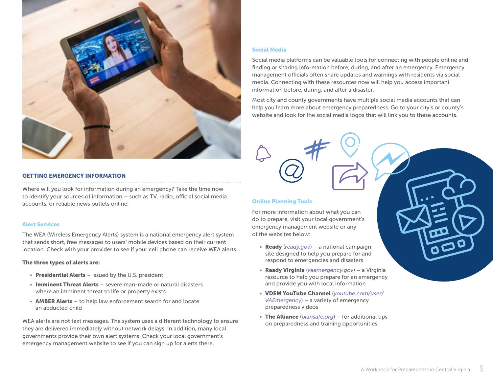

#### GETTING EMERGENCY INFORMATION

Where will you look for information during an emergency? Take the time now to identify your sources of information – such as TV, radio, official social media accounts, or reliable news outlets online.

#### Alert Services

The WEA (Wireless Emergency Alerts) system is a national emergency alert system that sends short, free messages to users' mobile devices based on their current location. Check with your provider to see if your cell phone can receive WEA alerts.

#### The three types of alerts are:

- Presidential Alerts issued by the U.S. president
- Imminent Threat Alerts severe man-made or natural disasters where an imminent threat to life or property exists
- AMBER Alerts to help law enforcement search for and locate an abducted child

WEA alerts are not text messages. The system uses a different technology to ensure they are delivered immediately without network delays. In addition, many local governments provide their own alert systems. Check your local government's emergency management website to see if you can sign up for alerts there.

#### Social Media

Social media platforms can be valuable tools for connecting with people online and finding or sharing information before, during, and after an emergency. Emergency management officials often share updates and warnings with residents via social media. Connecting with these resources now will help you access important information before, during, and after a disaster.

Most city and county governments have multiple social media accounts that can help you learn more about emergency preparedness. Go to your city's or county's website and look for the social media logos that will link you to these accounts.

#### Online Planning Tools

For more information about what you can do to prepare, visit your local government's emergency management website or any of the websites below:

- Ready (*[ready.gov](http://ready.gov)*) a national campaign site designed to help you prepare for and respond to emergencies and disasters
- Ready Virginia (*[vaemergency.gov](http://vaemergency.gov)*) a Virginia resource to help you prepare for an emergency and provide you with local information
- VDEM YouTube Channel (*[youtube.com/user/](http://youtube.com/user/VAEmergency) [VAEmergency](http://youtube.com/user/VAEmergency)*) – a variety of emergency preparedness videos
- The Alliance (*[plansafe.org](http://plansafe.org)*) for additional tips on preparedness and training opportunities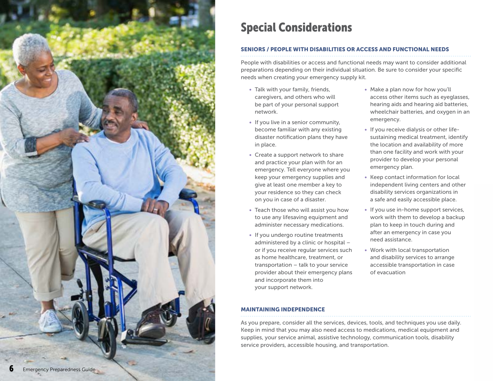<span id="page-5-0"></span>

# Special Considerations

#### SENIORS / PEOPLE WITH DISABILITIES OR ACCESS AND FUNCTIONAL NEEDS

People with disabilities or access and functional needs may want to consider additional preparations depending on their individual situation. Be sure to consider your specific needs when creating your emergency supply kit.

- Talk with your family, friends, caregivers, and others who will be part of your personal support network.
- If you live in a senior community, become familiar with any existing disaster notification plans they have in place.
- Create a support network to share and practice your plan with for an emergency. Tell everyone where you keep your emergency supplies and give at least one member a key to your residence so they can check on you in case of a disaster.
- Teach those who will assist you how to use any lifesaving equipment and administer necessary medications.
- If you undergo routine treatments administered by a clinic or hospital – or if you receive regular services such as home healthcare, treatment, or transportation – talk to your service provider about their emergency plans and incorporate them into your support network.
- Make a plan now for how you'll access other items such as eyeglasses, hearing aids and hearing aid batteries, wheelchair batteries, and oxygen in an emergency.
- If you receive dialysis or other lifesustaining medical treatment, identify the location and availability of more than one facility and work with your provider to develop your personal emergency plan.
- Keep contact information for local independent living centers and other disability services organizations in a safe and easily accessible place.
- If you use in-home support services, work with them to develop a backup plan to keep in touch during and after an emergency in case you need assistance.
- Work with local transportation and disability services to arrange accessible transportation in case of evacuation

#### MAINTAINING INDEPENDENCE

As you prepare, consider all the services, devices, tools, and techniques you use daily. Keep in mind that you may also need access to medications, medical equipment and supplies, your service animal, assistive technology, communication tools, disability service providers, accessible housing, and transportation.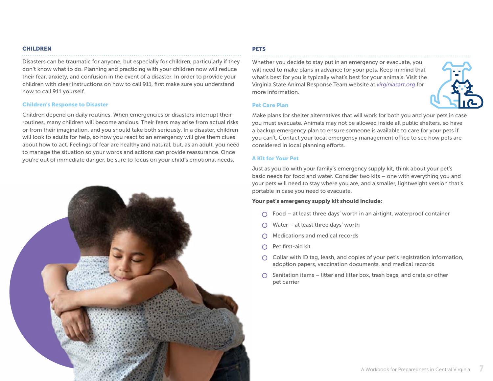#### CHILDREN

Disasters can be traumatic for anyone, but especially for children, particularly if they don't know what to do. Planning and practicing with your children now will reduce their fear, anxiety, and confusion in the event of a disaster. In order to provide your children with clear instructions on how to call 911, first make sure you understand how to call 911 yourself.

#### Children's Response to Disaster

Children depend on daily routines. When emergencies or disasters interrupt their routines, many children will become anxious. Their fears may arise from actual risks or from their imagination, and you should take both seriously. In a disaster, children will look to adults for help, so how you react to an emergency will give them clues about how to act. Feelings of fear are healthy and natural, but, as an adult, you need to manage the situation so your words and actions can provide reassurance. Once you're out of immediate danger, be sure to focus on your child's emotional needs.



#### **PETS**

Whether you decide to stay put in an emergency or evacuate, you will need to make plans in advance for your pets. Keep in mind that what's best for you is typically what's best for your animals. Visit the Virginia State Animal Response Team website at *[virginiasart.org](http://virginiasart.org)* for more information.



#### Pet Care Plan

Make plans for shelter alternatives that will work for both you and your pets in case you must evacuate. Animals may not be allowed inside all public shelters, so have a backup emergency plan to ensure someone is available to care for your pets if you can't. Contact your local emergency management office to see how pets are considered in local planning efforts.

#### A Kit for Your Pet

Just as you do with your family's emergency supply kit, think about your pet's basic needs for food and water. Consider two kits – one with everything you and your pets will need to stay where you are, and a smaller, lightweight version that's portable in case you need to evacuate.

#### Your pet's emergency supply kit should include:

- $\bigcap$  Food at least three days' worth in an airtight, waterproof container
- $\bigcirc$  Water at least three days' worth
- Medications and medical records
- $\bigcap$  Pet first-aid kit
- $\bigcirc$  Collar with ID tag, leash, and copies of your pet's registration information, adoption papers, vaccination documents, and medical records
- $\bigcirc$  Sanitation items litter and litter box, trash bags, and crate or other pet carrier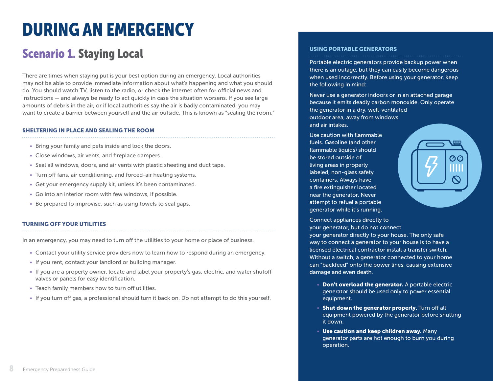# <span id="page-7-0"></span>DURING AN EMERGENCY

# Scenario 1. Staying Local

There are times when staying put is your best option during an emergency. Local authorities may not be able to provide immediate information about what's happening and what you should do. You should watch TV, listen to the radio, or check the internet often for official news and instructions — and always be ready to act quickly in case the situation worsens. If you see large amounts of debris in the air, or if local authorities say the air is badly contaminated, you may want to create a barrier between yourself and the air outside. This is known as "sealing the room."

#### SHELTERING IN PLACE AND SEALING THE ROOM

- Bring your family and pets inside and lock the doors.
- Close windows, air vents, and fireplace dampers.
- Seal all windows, doors, and air vents with plastic sheeting and duct tape.
- Turn off fans, air conditioning, and forced-air heating systems.
- Get your emergency supply kit, unless it's been contaminated.
- Go into an interior room with few windows, if possible.
- Be prepared to improvise, such as using towels to seal gaps.

#### TURNING OFF YOUR UTILITIES

In an emergency, you may need to turn off the utilities to your home or place of business.

- Contact your utility service providers now to learn how to respond during an emergency.
- If you rent, contact your landlord or building manager.
- If you are a property owner, locate and label your property's gas, electric, and water shutoff valves or panels for easy identification.
- Teach family members how to turn off utilities.
- If you turn off gas, a professional should turn it back on. Do not attempt to do this yourself.

## USING PORTABLE GENERATORS<br>………………………………………………………………

Portable electric generators provide backup power when there is an outage, but they can easily become dangerous when used incorrectly. Before using your generator, keep the following in mind:

Never use a generator indoors or in an attached garage because it emits deadly carbon monoxide. Only operate the generator in a dry, well-ventilated outdoor area, away from windows and air intakes.

Use caution with flammable fuels. Gasoline (and other flammable liquids) should be stored outside of living areas in properly labeled, non-glass safety containers. Always have a fire extinguisher located near the generator. Never attempt to refuel a portable generator while it's running.



Connect appliances directly to your generator, but do not connect

your generator directly to your house. The only safe way to connect a generator to your house is to have a licensed electrical contractor install a transfer switch. Without a switch, a generator connected to your home can "backfeed" onto the power lines, causing extensive damage and even death.

- Don't overload the generator. A portable electric generator should be used only to power essential equipment.
- Shut down the generator properly. Turn off all equipment powered by the generator before shutting it down.
- Use caution and keep children away. Many generator parts are hot enough to burn you during operation.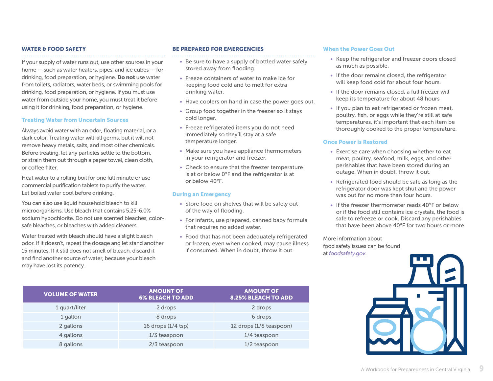#### WATER & FOOD SAFETY

If your supply of water runs out, use other sources in your home — such as water heaters, pipes, and ice cubes — for drinking, food preparation, or hygiene. Do not use water from toilets, radiators, water beds, or swimming pools for drinking, food preparation, or hygiene. If you must use water from outside your home, you must treat it before using it for drinking, food preparation, or hygiene.

#### Treating Water from Uncertain Sources

Always avoid water with an odor, floating material, or a dark color. Treating water will kill germs, but it will not remove heavy metals, salts, and most other chemicals. Before treating, let any particles settle to the bottom, or strain them out through a paper towel, clean cloth, or coffee filter.

Heat water to a rolling boil for one full minute or use commercial purification tablets to purify the water. Let boiled water cool before drinking.

You can also use liquid household bleach to kill microorganisms. Use bleach that contains 5.25-6.0% sodium hypochlorite. Do not use scented bleaches, colorsafe bleaches, or bleaches with added cleaners.

Water treated with bleach should have a slight bleach odor. If it doesn't, repeat the dosage and let stand another 15 minutes. If it still does not smell of bleach, discard it and find another source of water, because your bleach may have lost its potency.

#### BE PREPARED FOR EMERGENCIES

- Be sure to have a supply of bottled water safely stored away from flooding.
- Freeze containers of water to make ice for keeping food cold and to melt for extra drinking water.
- Have coolers on hand in case the power goes out.
- Group food together in the freezer so it stays cold longer.
- Freeze refrigerated items you do not need immediately so they'll stay at a safe temperature longer.
- Make sure you have appliance thermometers in your refrigerator and freezer.
- Check to ensure that the freezer temperature is at or below 0°F and the refrigerator is at or below 40°F.

#### During an Emergency

- Store food on shelves that will be safely out of the way of flooding.
- For infants, use prepared, canned baby formula that requires no added water.
- Food that has not been adequately refrigerated or frozen, even when cooked, may cause illness if consumed. When in doubt, throw it out.

#### When the Power Goes Out

- Keep the refrigerator and freezer doors closed as much as possible.
- If the door remains closed, the refrigerator will keep food cold for about four hours.
- If the door remains closed, a full freezer will keep its temperature for about 48 hours
- If you plan to eat refrigerated or frozen meat, poultry, fish, or eggs while they're still at safe temperatures, it's important that each item be thoroughly cooked to the proper temperature.

#### Once Power is Restored

- Exercise care when choosing whether to eat meat, poultry, seafood, milk, eggs, and other perishables that have been stored during an outage. When in doubt, throw it out.
- Refrigerated food should be safe as long as the refrigerator door was kept shut and the power was out for no more than four hours.
- If the freezer thermometer reads 40°F or below or if the food still contains ice crystals, the food is safe to refreeze or cook. Discard any perishables that have been above 40°F for two hours or more.

More information about food safety issues can be found at *[foodsafety.gov](http://foodsafety.gov)*.



| <b>VOLUME OF WATER</b> | <b>AMOUNT OF</b><br><b>6% BLEACH TO ADD</b> | <b>AMOUNT OF</b><br><b>8.25% BLEACH TO ADD</b> |
|------------------------|---------------------------------------------|------------------------------------------------|
| 1 quart/liter          | 2 drops                                     | 2 drops                                        |
| 1 gallon               | 8 drops                                     | 6 drops                                        |
| 2 gallons              | 16 drops $(1/4$ tsp)                        | 12 drops (1/8 teaspoon)                        |
| 4 gallons              | $1/3$ teaspoon                              | 1/4 teaspoon                                   |
| 8 gallons              | 2/3 teaspoon                                | $1/2$ teaspoon                                 |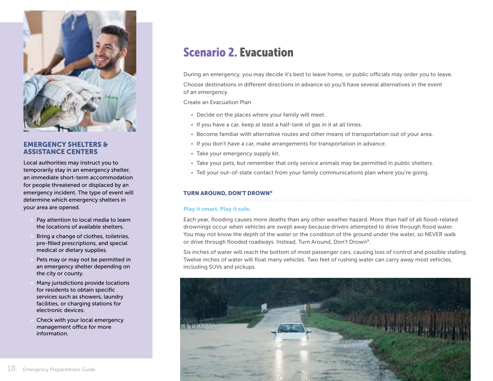<span id="page-9-0"></span>

#### EMERGENCY SHELTERS & ASSISTANCE CENTERS

Local authorities may instruct you to temporarily stay in an emergency shelter, an immediate short-term accommodation for people threatened or displaced by an emergency incident. The type of event will determine which emergency shelters in your area are opened.

- Pay attention to local media to learn the locations of available shelters.
- Bring a change of clothes, toiletries, pre-filled prescriptions, and special medical or dietary supplies.
- Pets may or may not be permitted in an emergency shelter depending on the city or county.
- Many jurisdictions provide locations for residents to obtain specific services such as showers, laundry facilities, or charging stations for electronic devices.
- Check with your local emergency management office for more information.

# Scenario 2. Evacuation

During an emergency, you may decide it's best to leave home, or public officials may order you to leave. Choose destinations in different directions in advance so you'll have several alternatives in the event of an emergency.

Create an Evacuation Plan

- Decide on the places where your family will meet.
- If you have a car, keep at least a half-tank of gas in it at all times.
- Become familiar with alternative routes and other means of transportation out of your area.
- If you don't have a car, make arrangements for transportation in advance.
- Take your emergency supply kit.
- Take your pets, but remember that only service animals may be permitted in public shelters.
- Tell your out-of-state contact from your family communications plan where you're going.

#### TURN AROUND, DON'T DROWN®

#### Play it smart. Play it safe.

Each year, flooding causes more deaths than any other weather hazard. More than half of all flood-related drownings occur when vehicles are swept away because drivers attempted to drive through flood water. You may not know the depth of the water or the condition of the ground under the water, so NEVER walk or drive through flooded roadways. Instead, Turn Around, Don't Drown®.

Six inches of water will reach the bottom of most passenger cars, causing loss of control and possible stalling. Twelve inches of water will float many vehicles. Two feet of rushing water can carry away most vehicles, including SUVs and pickups.

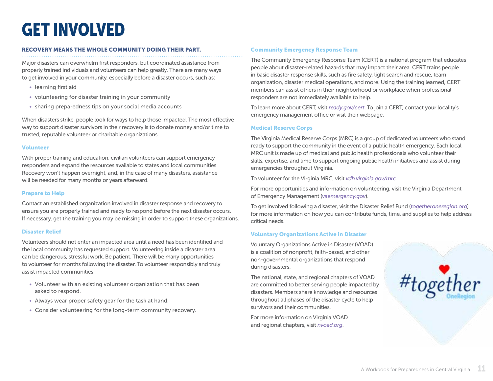# <span id="page-10-0"></span>GET INVOLVED

#### RECOVERY MEANS THE WHOLE COMMUNITY DOING THEIR PART.

Major disasters can overwhelm first responders, but coordinated assistance from properly trained individuals and volunteers can help greatly. There are many ways to get involved in your community, especially before a disaster occurs, such as:

- learning first aid
- volunteering for disaster training in your community
- sharing preparedness tips on your social media accounts

When disasters strike, people look for ways to help those impacted. The most effective way to support disaster survivors in their recovery is to donate money and/or time to trusted, reputable volunteer or charitable organizations.

#### Volunteer

With proper training and education, civilian volunteers can support emergency responders and expand the resources available to states and local communities. Recovery won't happen overnight, and, in the case of many disasters, assistance will be needed for many months or years afterward.

#### Prepare to Help

Contact an established organization involved in disaster response and recovery to ensure you are properly trained and ready to respond before the next disaster occurs. If necessary, get the training you may be missing in order to support these organizations.

#### Disaster Relief

Volunteers should not enter an impacted area until a need has been identified and the local community has requested support. Volunteering inside a disaster area can be dangerous, stressful work. Be patient. There will be many opportunities to volunteer for months following the disaster. To volunteer responsibly and truly assist impacted communities:

- Volunteer with an existing volunteer organization that has been asked to respond.
- Always wear proper safety gear for the task at hand.
- Consider volunteering for the long-term community recovery.

#### Community Emergency Response Team

The Community Emergency Response Team (CERT) is a national program that educates people about disaster-related hazards that may impact their area. CERT trains people in basic disaster response skills, such as fire safety, light search and rescue, team organization, disaster medical operations, and more. Using the training learned, CERT members can assist others in their neighborhood or workplace when professional responders are not immediately available to help.

To learn more about CERT, visit *[ready.gov/cert](http://ready.gov/cert)*. To join a CERT, contact your locality's emergency management office or visit their webpage.

#### Medical Reserve Corps

The Virginia Medical Reserve Corps (MRC) is a group of dedicated volunteers who stand ready to support the community in the event of a public health emergency. Each local MRC unit is made up of medical and public health professionals who volunteer their skills, expertise, and time to support ongoing public health initiatives and assist during emergencies throughout Virginia.

To volunteer for the Virginia MRC, visit *[vdh.virginia.gov/mrc](http://vdh.virginia.gov/mrc)*.

For more opportunities and information on volunteering, visit the Virginia Department of Emergency Management (*[vaemergency.gov](http://vaemergency.gov)*).

To get involved following a disaster, visit the Disaster Relief Fund (*[togetheroneregion.org](http://togetheroneregion.org)*) for more information on how you can contribute funds, time, and supplies to help address critical needs.

#### Voluntary Organizations Active in Disaster

Voluntary Organizations Active in Disaster (VOAD) is a coalition of nonprofit, faith-based, and other non-governmental organizations that respond during disasters.

The national, state, and regional chapters of VOAD are committed to better serving people impacted by disasters. Members share knowledge and resources throughout all phases of the disaster cycle to help survivors and their communities.

For more information on Virginia VOAD and regional chapters, visit *[nvoad.org](http://nvoad.org)*.

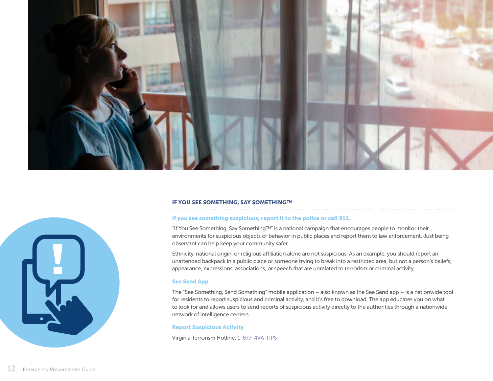



#### IF YOU SEE SOMETHING, SAY SOMETHING™

#### If you see something suspicious, report it to the police or call 911.

"If You See Something, Say Something™" is a national campaign that encourages people to monitor their environments for suspicious objects or behavior in public places and report them to law enforcement. Just being observant can help keep your community safer.

Ethnicity, national origin, or religious affiliation alone are not suspicious. As an example, you should report an unattended backpack in a public place or someone trying to break into a restricted area, but not a person's beliefs, appearance, expressions, associations, or speech that are unrelated to terrorism or criminal activity.

#### See Send App

The "See Something, Send Something" mobile application – also known as the See Send app – is a nationwide tool for residents to report suspicious and criminal activity, and it's free to download. The app educates you on what to look for and allows users to send reports of suspicious activity directly to the authorities through a nationwide network of intelligence centers.

#### Report Suspicious Activity

Virginia Terrorism Hotline: 1-877-4VA-TIPS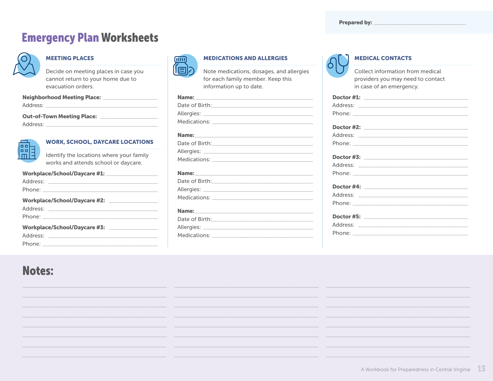# <span id="page-12-0"></span>**Emergency Plan Worksheets**



#### **MEETING PLACES**

Decide on meeting places in case you cannot return to your home due to evacuation orders.

| <b>Neighborhood Meeting Place:</b> |  |  |
|------------------------------------|--|--|
| Address:                           |  |  |
|                                    |  |  |

#### 



#### **WORK, SCHOOL, DAYCARE LOCATIONS**

Identify the locations where your family works and attends school or daycare.

#### Workplace/School/Daycare #1:

| Workplace/School/Daycare #2: |  |
|------------------------------|--|
|                              |  |
|                              |  |
| Workplace/School/Daycare #3: |  |
|                              |  |
|                              |  |

## mm 同

#### **MEDICATIONS AND ALLERGIES**

Note medications, dosages, and allergies for each family member. Keep this information up to date.

#### Name:

| Date of Birth: 2008 |
|---------------------|

#### Name:

| Date of Birth: |
|----------------|
| Allergies:     |
| Medications:   |
|                |

#### Name:

| Date of Birth: |  |
|----------------|--|
| Allergies:     |  |
| Medications:   |  |

#### **MEDICAL CONTACTS**

Collect information from medical providers you may need to contact in case of an emergency.

# **Notes:**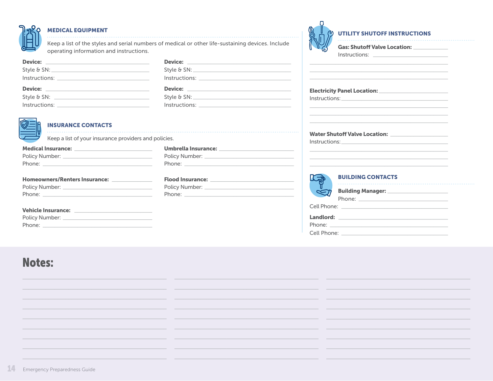

#### **MEDICAL EQUIPMENT**

Keep a list of the styles and serial numbers of medical or other life-sustaining devices. Include operating information and instructions.

| $Instructions: \begin{tabular}{ c c c c } \hline \quad \quad & \quad \quad & \quad \quad & \quad \quad \\ \hline \end{tabular}$ | $Instructions: \begin{tabular}{c} \hline \rule[1ex]{.1ex}{1ex} \rule[1ex]{.1ex}{1ex} \rule[1ex]{.1ex}{1ex} \rule[1ex]{.1ex}{1ex} \rule[1ex]{.1ex}{1ex} \rule[1ex]{.1ex}{1ex} \rule[1ex]{.1ex}{1ex} \rule[1ex]{.1ex}{1ex} \rule[1ex]{.1ex}{1ex} \rule[1ex]{.1ex}{1ex} \rule[1ex]{.1ex}{1ex} \rule[1ex]{.1ex}{1ex} \rule[1ex]{.1ex}{1ex} \rule[1ex]{.1ex}{1ex} \rule[1ex]{.1ex}{1ex} \rule[1ex]{.1ex}{1$ |  |
|---------------------------------------------------------------------------------------------------------------------------------|--------------------------------------------------------------------------------------------------------------------------------------------------------------------------------------------------------------------------------------------------------------------------------------------------------------------------------------------------------------------------------------------------------|--|
|                                                                                                                                 |                                                                                                                                                                                                                                                                                                                                                                                                        |  |
|                                                                                                                                 | Device: _________________________                                                                                                                                                                                                                                                                                                                                                                      |  |
| Style & SN: $\frac{1}{2}$ Style & SN:                                                                                           | Style & SN: $\frac{1}{2}$ Style 8.                                                                                                                                                                                                                                                                                                                                                                     |  |



#### **INSURANCE CONTACTS**

Keep a list of your insurance providers and policies.

| Medical Insurance: <u>_________________________________</u> |  |
|-------------------------------------------------------------|--|
|                                                             |  |
|                                                             |  |
| Homeowners/Renters Insurance: ______________                |  |
|                                                             |  |
|                                                             |  |

#### **Vehicle Insurance:**

| Policy Number: |  |
|----------------|--|
| Phone:         |  |

# **Notes:**

#### **UTILITY SHUTOFF INSTRUCTIONS**

|             | Gas: Shutoff Valve Location: ___________                                                                                                         |  |
|-------------|--------------------------------------------------------------------------------------------------------------------------------------------------|--|
|             | $Instructions: \_\_$                                                                                                                             |  |
|             |                                                                                                                                                  |  |
|             | <u> 1989 - Andrea Santa Andrea Andrea Andrea Andrea Andrea Andrea Andrea Andrea Andrea Andrea Andrea Andrea Andr</u><br><b>BUILDING CONTACTS</b> |  |
|             | Building Manager: ______________________                                                                                                         |  |
|             |                                                                                                                                                  |  |
|             |                                                                                                                                                  |  |
| Cell Phone: |                                                                                                                                                  |  |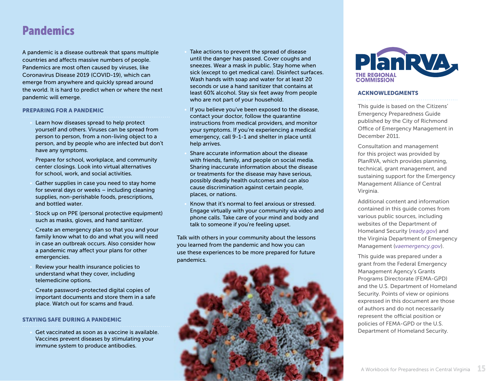## <span id="page-14-0"></span>Pandemics

A pandemic is a disease outbreak that spans multiple countries and affects massive numbers of people. Pandemics are most often caused by viruses, like Coronavirus Disease 2019 (COVID-19), which can emerge from anywhere and quickly spread around the world. It is hard to predict when or where the next pandemic will emerge.

#### PREPARING FOR A PANDEMIC

- Learn how diseases spread to help protect yourself and others. Viruses can be spread from person to person, from a non-living object to a person, and by people who are infected but don't have any symptoms.
- Prepare for school, workplace, and community center closings. Look into virtual alternatives for school, work, and social activities.
- Gather supplies in case you need to stay home for several days or weeks – including cleaning supplies, non-perishable foods, prescriptions, and bottled water.
- Stock up on PPE (personal protective equipment) such as masks, gloves, and hand sanitizer.
- Create an emergency plan so that you and your family know what to do and what you will need in case an outbreak occurs. Also consider how a pandemic may affect your plans for other emergencies.
- Review your health insurance policies to understand what they cover, including telemedicine options.
- Create password-protected digital copies of important documents and store them in a safe place. Watch out for scams and fraud.

#### STAYING SAFE DURING A PANDEMIC

• Get vaccinated as soon as a vaccine is available. Vaccines prevent diseases by stimulating your immune system to produce antibodies.

- Take actions to prevent the spread of disease until the danger has passed. Cover coughs and sneezes. Wear a mask in public. Stay home when sick (except to get medical care). Disinfect surfaces. Wash hands with soap and water for at least 20 seconds or use a hand sanitizer that contains at least 60% alcohol. Stay six feet away from people who are not part of your household.
- If you believe you've been exposed to the disease, contact your doctor, follow the quarantine instructions from medical providers, and monitor your symptoms. If you're experiencing a medical emergency, call 9-1-1 and shelter in place until help arrives.
- Share accurate information about the disease with friends, family, and people on social media. Sharing inaccurate information about the disease or treatments for the disease may have serious, possibly deadly health outcomes and can also cause discrimination against certain people, places, or nations.
- Know that it's normal to feel anxious or stressed. Engage virtually with your community via video and phone calls. Take care of your mind and body and talk to someone if you're feeling upset.

Talk with others in your community about the lessons you learned from the pandemic and how you can use these experiences to be more prepared for future pandemics.





#### ACKNOWLEDGMENTS

This guide is based on the Citizens' Emergency Preparedness Guide published by the City of Richmond Office of Emergency Management in December 2011.

Consultation and management for this project was provided by PlanRVA, which provides planning, technical, grant management, and sustaining support for the Emergency Management Alliance of Central Virginia.

Additional content and information contained in this guide comes from various public sources, including websites of the Department of Homeland Security (*[ready.gov](http://ready.gov)*) and the Virginia Department of Emergency Management (*[vaemergency.gov](http://vaemergency.gov)*).

This guide was prepared under a grant from the Federal Emergency Management Agency's Grants Programs Directorate (FEMA-GPD) and the U.S. Department of Homeland Security. Points of view or opinions expressed in this document are those of authors and do not necessarily represent the official position or policies of FEMA-GPD or the U.S. Department of Homeland Security.